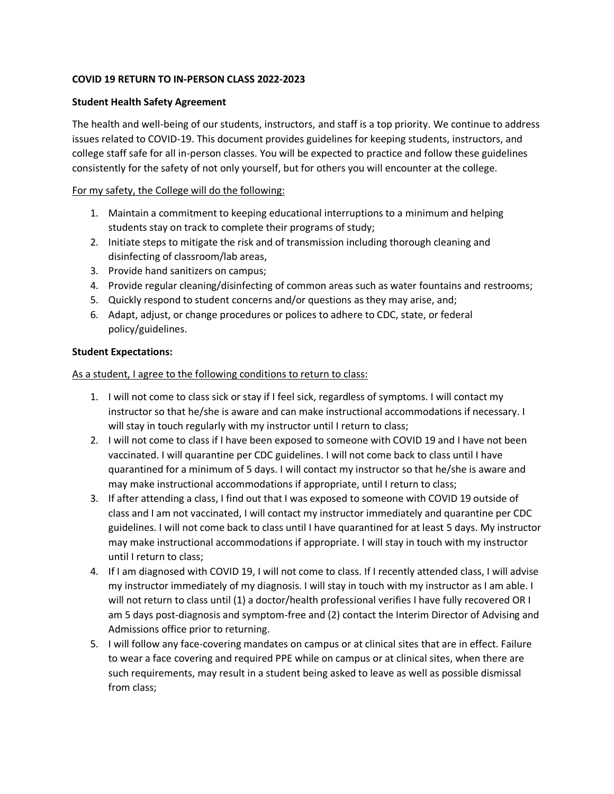## **COVID 19 RETURN TO IN-PERSON CLASS 2022-2023**

## **Student Health Safety Agreement**

The health and well-being of our students, instructors, and staff is a top priority. We continue to address issues related to COVID-19. This document provides guidelines for keeping students, instructors, and college staff safe for all in-person classes. You will be expected to practice and follow these guidelines consistently for the safety of not only yourself, but for others you will encounter at the college.

## For my safety, the College will do the following:

- 1. Maintain a commitment to keeping educational interruptions to a minimum and helping students stay on track to complete their programs of study;
- 2. Initiate steps to mitigate the risk and of transmission including thorough cleaning and disinfecting of classroom/lab areas,
- 3. Provide hand sanitizers on campus;
- 4. Provide regular cleaning/disinfecting of common areas such as water fountains and restrooms;
- 5. Quickly respond to student concerns and/or questions as they may arise, and;
- 6. Adapt, adjust, or change procedures or polices to adhere to CDC, state, or federal policy/guidelines.

## **Student Expectations:**

As a student, I agree to the following conditions to return to class:

- 1. I will not come to class sick or stay if I feel sick, regardless of symptoms. I will contact my instructor so that he/she is aware and can make instructional accommodations if necessary. I will stay in touch regularly with my instructor until I return to class;
- 2. I will not come to class if I have been exposed to someone with COVID 19 and I have not been vaccinated. I will quarantine per CDC guidelines. I will not come back to class until I have quarantined for a minimum of 5 days. I will contact my instructor so that he/she is aware and may make instructional accommodations if appropriate, until I return to class;
- 3. If after attending a class, I find out that I was exposed to someone with COVID 19 outside of class and I am not vaccinated, I will contact my instructor immediately and quarantine per CDC guidelines. I will not come back to class until I have quarantined for at least 5 days. My instructor may make instructional accommodations if appropriate. I will stay in touch with my instructor until I return to class;
- 4. If I am diagnosed with COVID 19, I will not come to class. If I recently attended class, I will advise my instructor immediately of my diagnosis. I will stay in touch with my instructor as I am able. I will not return to class until (1) a doctor/health professional verifies I have fully recovered OR I am 5 days post-diagnosis and symptom-free and (2) contact the Interim Director of Advising and Admissions office prior to returning.
- 5. I will follow any face-covering mandates on campus or at clinical sites that are in effect. Failure to wear a face covering and required PPE while on campus or at clinical sites, when there are such requirements, may result in a student being asked to leave as well as possible dismissal from class;